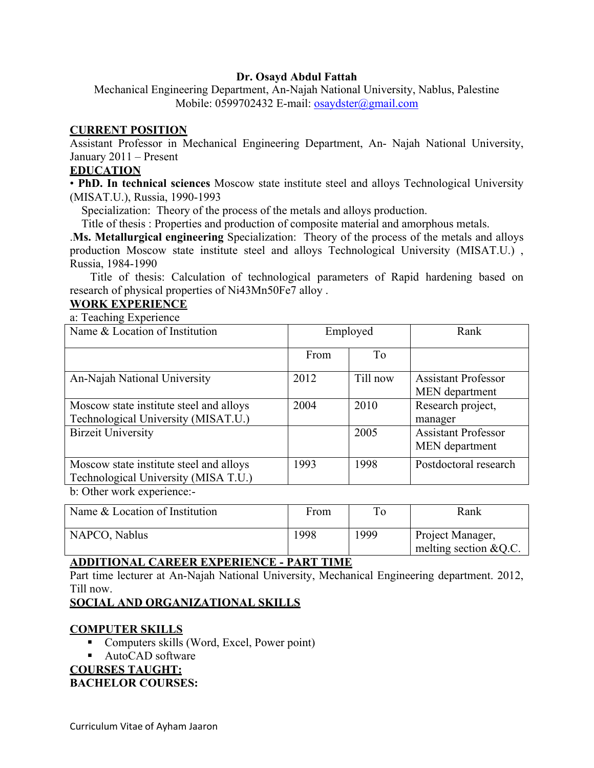### **Dr. Osayd Abdul Fattah**

Mechanical Engineering Department, An-Najah National University, Nablus, Palestine Mobile: 0599702432 E-mail: osaydster@gmail.com

### **CURRENT POSITION**

Assistant Professor in Mechanical Engineering Department, An- Najah National University, January 2011 – Present

#### **EDUCATION**

• **PhD. In technical sciences** Moscow state institute steel and alloys Technological University (MISAT.U.), Russia, 1990-1993

Specialization: Theory of the process of the metals and alloys production.

Title of thesis : Properties and production of composite material and amorphous metals.

.**Ms. Metallurgical engineering** Specialization: Theory of the process of the metals and alloys production Moscow state institute steel and alloys Technological University (MISAT.U.) , Russia, 1984-1990

 Title of thesis: Calculation of technological parameters of Rapid hardening based on research of physical properties of Ni43Mn50Fe7 alloy .

### **WORK EXPERIENCE**

a: Teaching Experience

| Name & Location of Institution                                                  | Employed |          | Rank                                                |
|---------------------------------------------------------------------------------|----------|----------|-----------------------------------------------------|
|                                                                                 | From     | To       |                                                     |
| An-Najah National University                                                    | 2012     | Till now | <b>Assistant Professor</b><br><b>MEN</b> department |
| Moscow state institute steel and alloys<br>Technological University (MISAT.U.)  | 2004     | 2010     | Research project,<br>manager                        |
| <b>Birzeit University</b>                                                       |          | 2005     | <b>Assistant Professor</b><br>MEN department        |
| Moscow state institute steel and alloys<br>Technological University (MISA T.U.) | 1993     | 1998     | Postdoctoral research                               |
| he Othor work ovnorianoo                                                        |          |          |                                                     |

b: Other work experience:-

| Name & Location of Institution | From | To   | Rank                                        |
|--------------------------------|------|------|---------------------------------------------|
| NAPCO, Nablus                  | 1998 | 1999 | Project Manager,<br>melting section $&Q.C.$ |

# **ADDITIONAL CAREER EXPERIENCE - PART TIME**

Part time lecturer at An-Najah National University, Mechanical Engineering department. 2012, Till now.

# **SOCIAL AND ORGANIZATIONAL SKILLS**

# **COMPUTER SKILLS**

- Computers skills (Word, Excel, Power point)
- AutoCAD software

# **COURSES TAUGHT:**

#### **BACHELOR COURSES:**